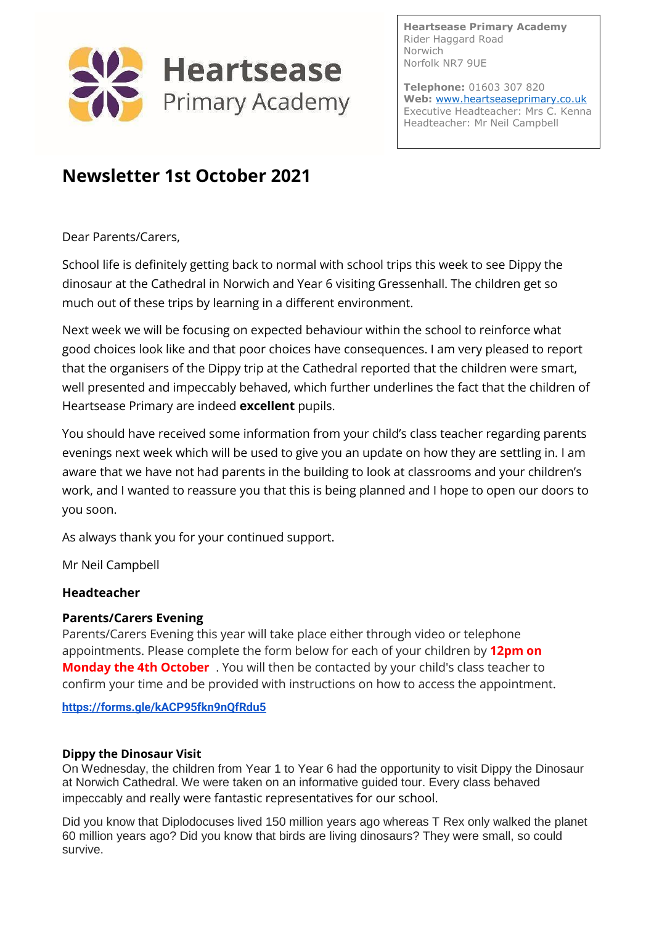

**Heartsease Primary Academy** Rider Haggard Road Norwich Norfolk NR7 9UE

**Telephone:** 01603 307 820 **Web:** [www.heartseaseprimary.co.uk](http://www.heartseaseprimary.co.uk/) Executive Headteacher: Mrs C. Kenna Headteacher: Mr Neil Campbell

# **Newsletter 1st October 2021**

Dear Parents/Carers,

School life is definitely getting back to normal with school trips this week to see Dippy the dinosaur at the Cathedral in Norwich and Year 6 visiting Gressenhall. The children get so much out of these trips by learning in a different environment.

Next week we will be focusing on expected behaviour within the school to reinforce what good choices look like and that poor choices have consequences. I am very pleased to report that the organisers of the Dippy trip at the Cathedral reported that the children were smart, well presented and impeccably behaved, which further underlines the fact that the children of Heartsease Primary are indeed **excellent** pupils.

You should have received some information from your child's class teacher regarding parents evenings next week which will be used to give you an update on how they are settling in. I am aware that we have not had parents in the building to look at classrooms and your children's work, and I wanted to reassure you that this is being planned and I hope to open our doors to you soon.

As always thank you for your continued support.

Mr Neil Campbell

#### **Headteacher**

#### **Parents/Carers Evening**

Parents/Carers Evening this year will take place either through video or telephone appointments. Please complete the form below for each of your children by **12pm on Monday the 4th October** . You will then be contacted by your child's class teacher to confirm your time and be provided with instructions on how to access the appointment.

**<https://forms.gle/kACP95fkn9nQfRdu5>**

#### **Dippy the Dinosaur Visit**

On Wednesday, the children from Year 1 to Year 6 had the opportunity to visit Dippy the Dinosaur at Norwich Cathedral. We were taken on an informative guided tour. Every class behaved impeccably and really were fantastic representatives for our school.

Did you know that Diplodocuses lived 150 million years ago whereas T Rex only walked the planet 60 million years ago? Did you know that birds are living dinosaurs? They were small, so could survive.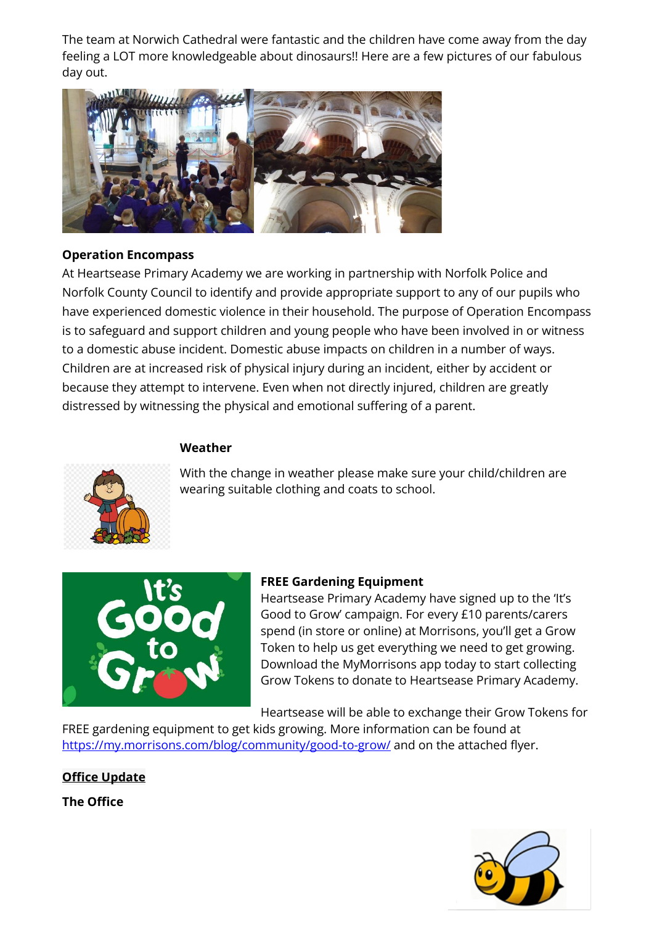The team at Norwich Cathedral were fantastic and the children have come away from the day feeling a LOT more knowledgeable about dinosaurs!! Here are a few pictures of our fabulous day out.



#### **Operation Encompass**

At Heartsease Primary Academy we are working in partnership with Norfolk Police and Norfolk County Council to identify and provide appropriate support to any of our pupils who have experienced domestic violence in their household. The purpose of Operation Encompass is to safeguard and support children and young people who have been involved in or witness to a domestic abuse incident. Domestic abuse impacts on children in a number of ways. Children are at increased risk of physical injury during an incident, either by accident or because they attempt to intervene. Even when not directly injured, children are greatly distressed by witnessing the physical and emotional suffering of a parent.

#### **Weather**



With the change in weather please make sure your child/children are wearing suitable clothing and coats to school.



#### **FREE Gardening Equipment**

Heartsease Primary Academy have signed up to the 'It's Good to Grow' campaign. For every £10 parents/carers spend (in store or online) at Morrisons, you'll get a Grow Token to help us get everything we need to get growing. Download the MyMorrisons app today to start collecting Grow Tokens to donate to Heartsease Primary Academy.

Heartsease will be able to exchange their Grow Tokens for

FREE gardening equipment to get kids growing. More information can be found at <https://my.morrisons.com/blog/community/good-to-grow/> and on the attached flyer.

**Office Update**

**The Office**

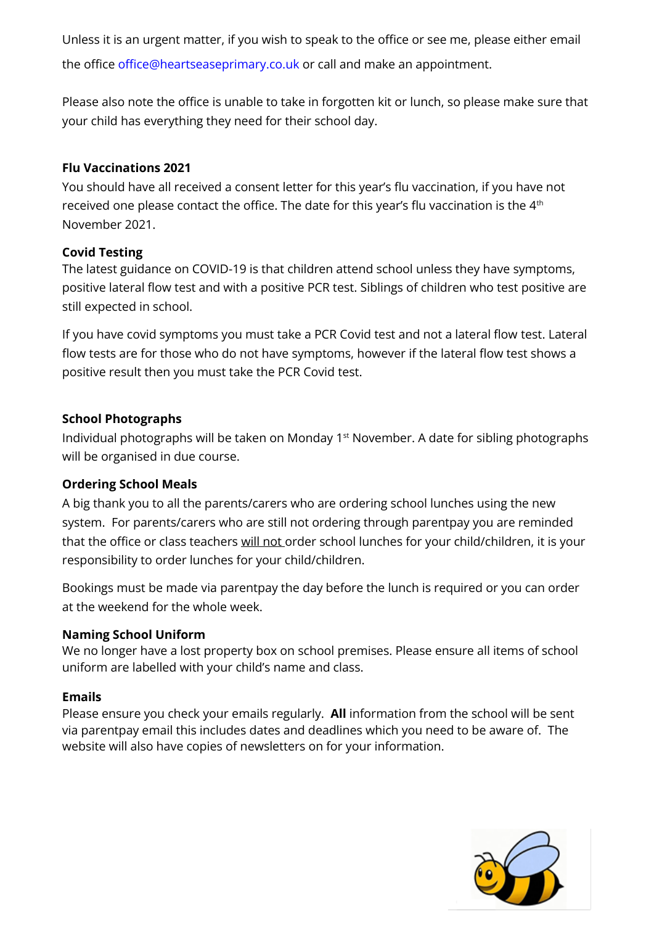Unless it is an urgent matter, if you wish to speak to the office or see me, please either email the office office@heartseaseprimary.co.uk or call and make an appointment.

Please also note the office is unable to take in forgotten kit or lunch, so please make sure that your child has everything they need for their school day.

### **Flu Vaccinations 2021**

You should have all received a consent letter for this year's flu vaccination, if you have not received one please contact the office. The date for this year's flu vaccination is the 4<sup>th</sup> November 2021.

### **Covid Testing**

The latest guidance on COVID-19 is that children attend school unless they have symptoms, positive lateral flow test and with a positive PCR test. Siblings of children who test positive are still expected in school.

If you have covid symptoms you must take a PCR Covid test and not a lateral flow test. Lateral flow tests are for those who do not have symptoms, however if the lateral flow test shows a positive result then you must take the PCR Covid test.

# **School Photographs**

Individual photographs will be taken on Monday 1st November. A date for sibling photographs will be organised in due course.

# **Ordering School Meals**

A big thank you to all the parents/carers who are ordering school lunches using the new system. For parents/carers who are still not ordering through parentpay you are reminded that the office or class teachers will not order school lunches for your child/children, it is your responsibility to order lunches for your child/children.

Bookings must be made via parentpay the day before the lunch is required or you can order at the weekend for the whole week.

# **Naming School Uniform**

We no longer have a lost property box on school premises. Please ensure all items of school uniform are labelled with your child's name and class.

#### **Emails**

Please ensure you check your emails regularly. **All** information from the school will be sent via parentpay email this includes dates and deadlines which you need to be aware of. The website will also have copies of newsletters on for your information.

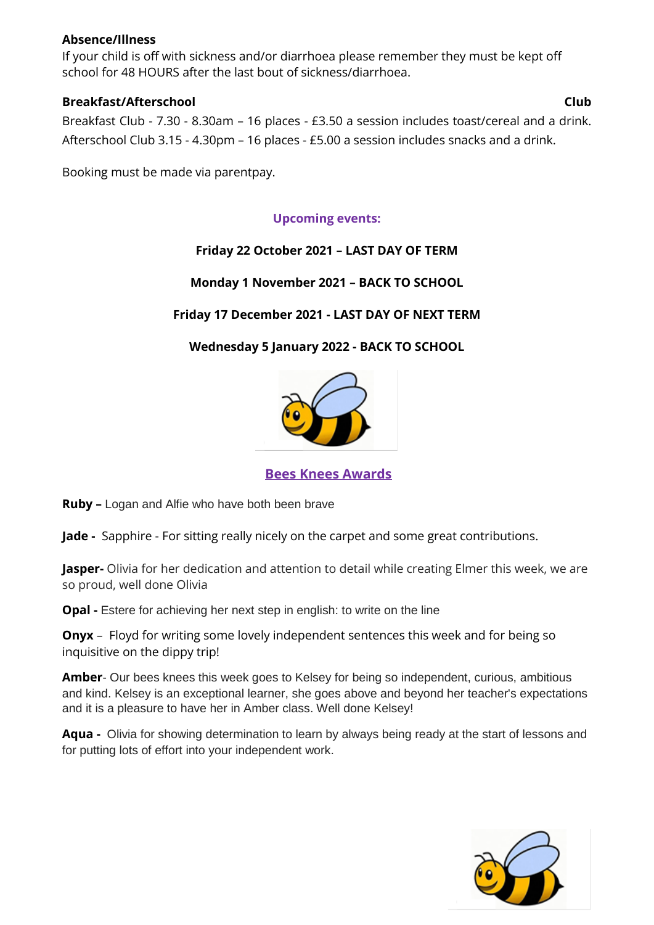#### **Absence/Illness**

If your child is off with sickness and/or diarrhoea please remember they must be kept off school for 48 HOURS after the last bout of sickness/diarrhoea.

#### **Breakfast/Afterschool Club**

Breakfast Club - 7.30 - 8.30am – 16 places - £3.50 a session includes toast/cereal and a drink. Afterschool Club 3.15 - 4.30pm – 16 places - £5.00 a session includes snacks and a drink.

Booking must be made via parentpay.

# **Upcoming events:**

# **Friday 22 October 2021 – LAST DAY OF TERM**

# **Monday 1 November 2021 – BACK TO SCHOOL**

# **Friday 17 December 2021 - LAST DAY OF NEXT TERM**

# **Wednesday 5 January 2022 - BACK TO SCHOOL**



**Bees Knees Awards**

**Ruby –** Logan and Alfie who have both been brave

**Jade -** Sapphire - For sitting really nicely on the carpet and some great contributions.

**Jasper-** Olivia for her dedication and attention to detail while creating Elmer this week, we are so proud, well done Olivia

**Opal -** Estere for achieving her next step in english: to write on the line

**Onyx** – Floyd for writing some lovely independent sentences this week and for being so inquisitive on the dippy trip!

**Amber**- Our bees knees this week goes to Kelsey for being so independent, curious, ambitious and kind. Kelsey is an exceptional learner, she goes above and beyond her teacher's expectations and it is a pleasure to have her in Amber class. Well done Kelsey!

**Aqua -** Olivia for showing determination to learn by always being ready at the start of lessons and for putting lots of effort into your independent work.

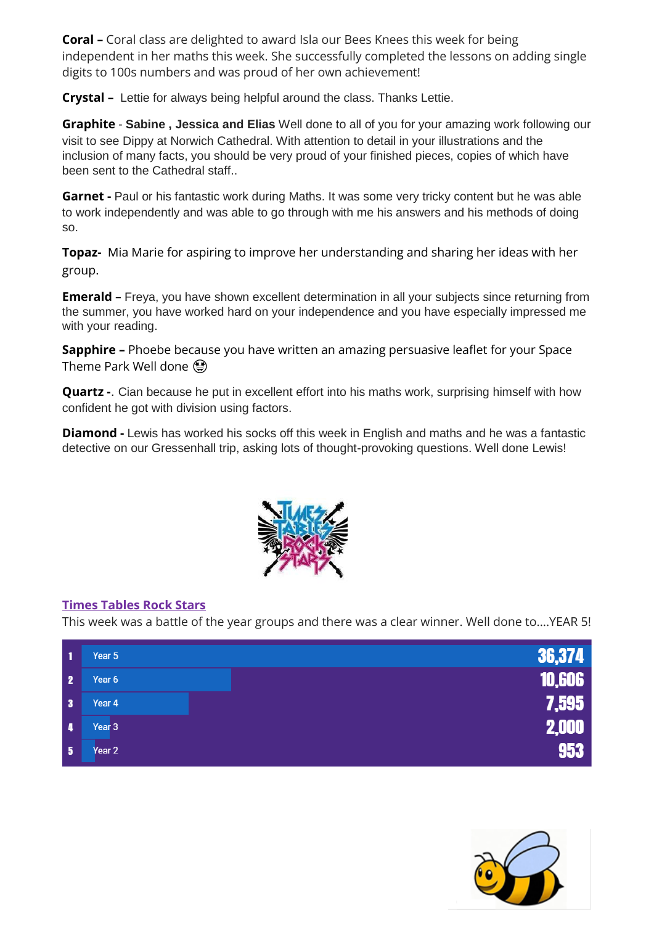**Coral –** Coral class are delighted to award Isla our Bees Knees this week for being independent in her maths this week. She successfully completed the lessons on adding single digits to 100s numbers and was proud of her own achievement!

**Crystal –** Lettie for always being helpful around the class. Thanks Lettie.

**Graphite** - **Sabine , Jessica and Elias** Well done to all of you for your amazing work following our visit to see Dippy at Norwich Cathedral. With attention to detail in your illustrations and the inclusion of many facts, you should be very proud of your finished pieces, copies of which have been sent to the Cathedral staff..

**Garnet -** Paul or his fantastic work during Maths. It was some very tricky content but he was able to work independently and was able to go through with me his answers and his methods of doing so.

**Topaz-** Mia Marie for aspiring to improve her understanding and sharing her ideas with her group.

**Emerald** – Freya, you have shown excellent determination in all your subjects since returning from the summer, you have worked hard on your independence and you have especially impressed me with your reading.

**Sapphire –** Phoebe because you have written an amazing persuasive leaflet for your Space Theme Park Well done (2)

**Quartz -**. Cian because he put in excellent effort into his maths work, surprising himself with how confident he got with division using factors.

**Diamond -** Lewis has worked his socks off this week in English and maths and he was a fantastic detective on our Gressenhall trip, asking lots of thought-provoking questions. Well done Lewis!



# **Times Tables Rock Stars**

This week was a battle of the year groups and there was a clear winner. Well done to....YEAR 5!

| $\mathbf{1}$            | Year 5            | 36,374 |
|-------------------------|-------------------|--------|
| $\overline{\mathbf{2}}$ | Year 6            | 10,606 |
| $\overline{\mathbf{3}}$ | Year 4            | 7,595  |
| $\sqrt{4}$              | Year <sub>3</sub> | 2,000  |
| 5                       | Year <sub>2</sub> | 953    |